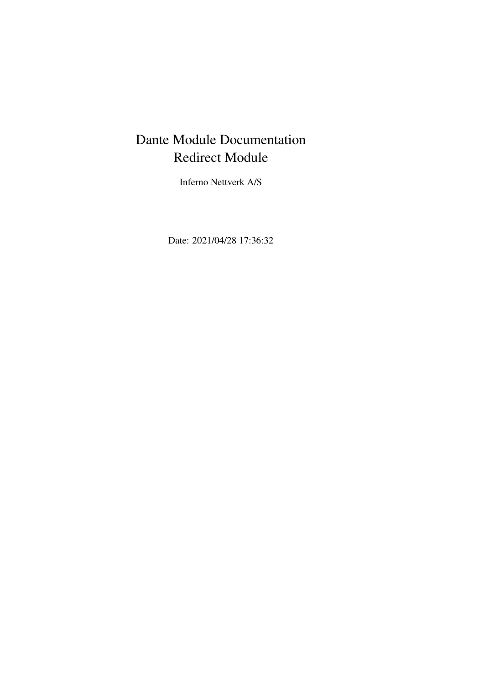# Dante Module Documentation Redirect Module

Inferno Nettverk A/S

Date: 2021/04/28 17:36:32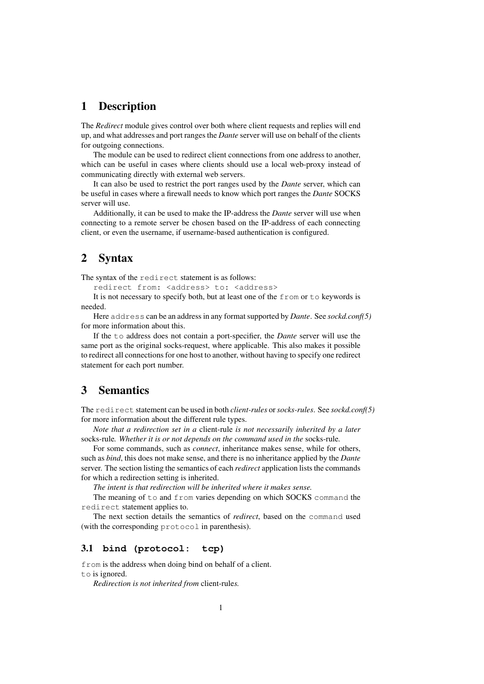# 1 Description

The *Redirect* module gives control over both where client requests and replies will end up, and what addresses and port ranges the *Dante* server will use on behalf of the clients for outgoing connections.

The module can be used to redirect client connections from one address to another, which can be useful in cases where clients should use a local web-proxy instead of communicating directly with external web servers.

It can also be used to restrict the port ranges used by the *Dante* server, which can be useful in cases where a firewall needs to know which port ranges the *Dante* SOCKS server will use.

Additionally, it can be used to make the IP-address the *Dante* server will use when connecting to a remote server be chosen based on the IP-address of each connecting client, or even the username, if username-based authentication is configured.

# 2 Syntax

The syntax of the redirect statement is as follows:

redirect from: <address> to: <address>

It is not necessary to specify both, but at least one of the from or to keywords is needed.

Here address can be an address in any format supported by *Dante*. See *sockd.conf(5)* for more information about this.

If the to address does not contain a port-specifier, the *Dante* server will use the same port as the original socks-request, where applicable. This also makes it possible to redirect all connections for one host to another, without having to specify one redirect statement for each port number.

# 3 Semantics

The redirect statement can be used in both *client-rules* or*socks-rules*. See *sockd.conf(5)* for more information about the different rule types.

*Note that a redirection set in a* client-rule *is not necessarily inherited by a later* socks-rule*. Whether it is or not depends on the command used in the* socks-rule*.*

For some commands, such as *connect*, inheritance makes sense, while for others, such as *bind*, this does not make sense, and there is no inheritance applied by the *Dante* server. The section listing the semantics of each *redirect* application lists the commands for which a redirection setting is inherited.

*The intent is that redirection will be inherited where it makes sense.*

The meaning of to and from varies depending on which SOCKS command the redirect statement applies to.

The next section details the semantics of *redirect*, based on the command used (with the corresponding protocol in parenthesis).

#### 3.1 **bind (protocol: tcp)**

from is the address when doing bind on behalf of a client. to is ignored.

*Redirection is not inherited from* client-rule*s.*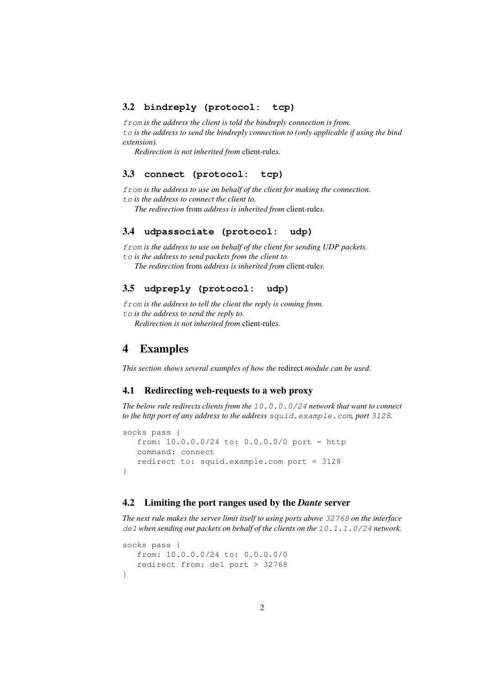## 3.2 **bindreply (protocol: tcp)**

from *is the address the client is told the bindreply connection is from.* to *is the address to send the bindreply connection to (only applicable if using the bind extension).*

*Redirection is not inherited from* client-rule*s.*

#### 3.3 **connect (protocol: tcp)**

from *is the address to use on behalf of the client for making the connection.* to *is the address to connect the client to.*

*The redirection* from *address is inherited from* client-rule*s.*

#### 3.4 **udpassociate (protocol: udp)**

from *is the address to use on behalf of the client for sending UDP packets.* to *is the address to send packets from the client to.*

*The redirection* from *address is inherited from* client-rule*s.*

# 3.5 **udpreply (protocol: udp)**

from *is the address to tell the client the reply is coming from.* to *is the address to send the reply to.*

*Redirection is not inherited from* client-rule*s.*

# 4 Examples

*This section shows several examples of how the* redirect *module can be used.*

#### 4.1 Redirecting web-requests to a web proxy

*The below rule redirects clients from the* 10.0.0.0/24 *network that want to connect to the http port of any address to the address* squid.example.com*, port* 3128*.*

```
socks pass {
   from: 10.0.0.0/24 to: 0.0.0.0/0 port = http
  command: connect
  redirect to: squid.example.com port = 3128
}
```
## 4.2 Limiting the port ranges used by the *Dante* server

*The next rule makes the server limit itself to using ports above* 32768 *on the interface* de1 *when sending out packets on behalf of the clients on the* 10.1.1.0/24 *network.*

```
socks pass {
   from: 10.0.0.0/24 to: 0.0.0.0/0
   redirect from: de1 port > 32768
}
```